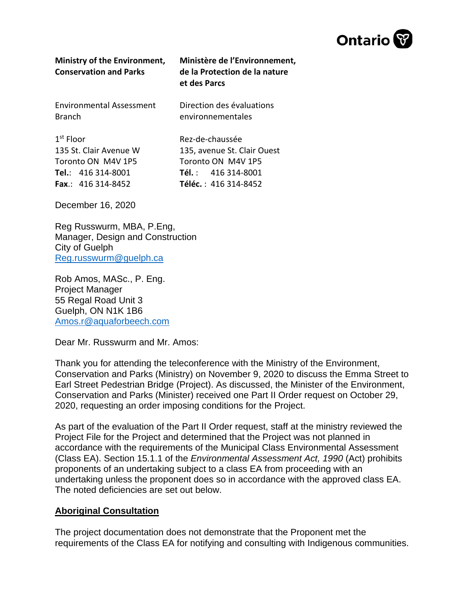

| <b>Ministry of the Environment,</b><br><b>Conservation and Parks</b> | Ministère de l'Environnement,<br>de la Protection de la nature<br>et des Parcs |
|----------------------------------------------------------------------|--------------------------------------------------------------------------------|
| <b>Environmental Assessment</b><br><b>Branch</b>                     | Direction des évaluations<br>environnementales                                 |
| $1st$ Floor                                                          | Rez-de-chaussée                                                                |
| 135 St. Clair Avenue W                                               | 135, avenue St. Clair Ouest                                                    |
| Toronto ON M4V 1P5                                                   | Toronto ON M4V 1P5                                                             |
| <b>Tel.:</b> 416 314-8001                                            | <b>Tél.</b> : $416314-8001$                                                    |
| Fax.: 416 314-8452                                                   | Téléc.: 416 314-8452                                                           |

December 16, 2020

Reg Russwurm, MBA, P.Eng, Manager, Design and Construction City of Guelph [Reg.russwurm@guelph.ca](mailto:Reg.russwurm@guelph.ca)

Rob Amos, MASc., P. Eng. Project Manager 55 Regal Road Unit 3 Guelph, ON N1K 1B6 [Amos.r@aquaforbeech.com](mailto:Amos.r@aquaforbeech.com)

Dear Mr. Russwurm and Mr. Amos:

Thank you for attending the teleconference with the Ministry of the Environment, Conservation and Parks (Ministry) on November 9, 2020 to discuss the Emma Street to Earl Street Pedestrian Bridge (Project). As discussed, the Minister of the Environment, Conservation and Parks (Minister) received one Part II Order request on October 29, 2020, requesting an order imposing conditions for the Project.

As part of the evaluation of the Part II Order request, staff at the ministry reviewed the Project File for the Project and determined that the Project was not planned in accordance with the requirements of the Municipal Class Environmental Assessment (Class EA). Section 15.1.1 of the *Environmental Assessment Act, 1990* (Act) prohibits proponents of an undertaking subject to a class EA from proceeding with an undertaking unless the proponent does so in accordance with the approved class EA. The noted deficiencies are set out below.

#### **Aboriginal Consultation**

The project documentation does not demonstrate that the Proponent met the requirements of the Class EA for notifying and consulting with Indigenous communities.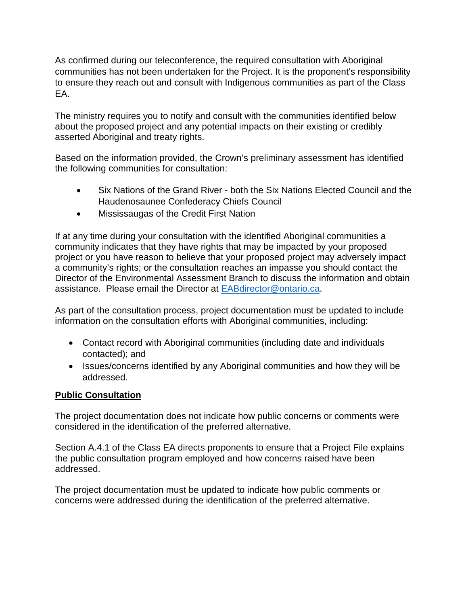As confirmed during our teleconference, the required consultation with Aboriginal communities has not been undertaken for the Project. It is the proponent's responsibility to ensure they reach out and consult with Indigenous communities as part of the Class EA.

The ministry requires you to notify and consult with the communities identified below about the proposed project and any potential impacts on their existing or credibly asserted Aboriginal and treaty rights.

Based on the information provided, the Crown's preliminary assessment has identified the following communities for consultation:

- Six Nations of the Grand River both the Six Nations Elected Council and the Haudenosaunee Confederacy Chiefs Council
- Mississaugas of the Credit First Nation

If at any time during your consultation with the identified Aboriginal communities a community indicates that they have rights that may be impacted by your proposed project or you have reason to believe that your proposed project may adversely impact a community's rights; or the consultation reaches an impasse you should contact the Director of the Environmental Assessment Branch to discuss the information and obtain assistance. Please email the Director at [EABdirector@ontario.ca.](mailto:EABdirector@ontario.ca)

As part of the consultation process, project documentation must be updated to include information on the consultation efforts with Aboriginal communities, including:

- Contact record with Aboriginal communities (including date and individuals contacted); and
- Issues/concerns identified by any Aboriginal communities and how they will be addressed.

## **Public Consultation**

The project documentation does not indicate how public concerns or comments were considered in the identification of the preferred alternative.

Section A.4.1 of the Class EA directs proponents to ensure that a Project File explains the public consultation program employed and how concerns raised have been addressed.

The project documentation must be updated to indicate how public comments or concerns were addressed during the identification of the preferred alternative.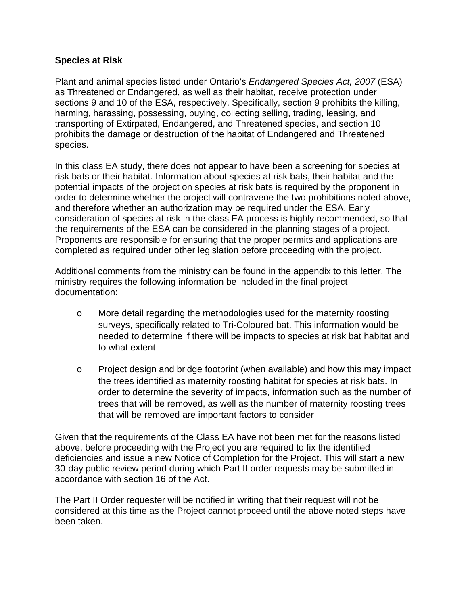#### **Species at Risk**

Plant and animal species listed under Ontario's *Endangered Species Act, 2007* (ESA) as Threatened or Endangered, as well as their habitat, receive protection under sections 9 and 10 of the ESA, respectively. Specifically, section 9 prohibits the killing, harming, harassing, possessing, buying, collecting selling, trading, leasing, and transporting of Extirpated, Endangered, and Threatened species, and section 10 prohibits the damage or destruction of the habitat of Endangered and Threatened species.

In this class EA study, there does not appear to have been a screening for species at risk bats or their habitat. Information about species at risk bats, their habitat and the potential impacts of the project on species at risk bats is required by the proponent in order to determine whether the project will contravene the two prohibitions noted above, and therefore whether an authorization may be required under the ESA. Early consideration of species at risk in the class EA process is highly recommended, so that the requirements of the ESA can be considered in the planning stages of a project. Proponents are responsible for ensuring that the proper permits and applications are completed as required under other legislation before proceeding with the project.

Additional comments from the ministry can be found in the appendix to this letter. The ministry requires the following information be included in the final project documentation:

- o More detail regarding the methodologies used for the maternity roosting surveys, specifically related to Tri-Coloured bat. This information would be needed to determine if there will be impacts to species at risk bat habitat and to what extent
- o Project design and bridge footprint (when available) and how this may impact the trees identified as maternity roosting habitat for species at risk bats. In order to determine the severity of impacts, information such as the number of trees that will be removed, as well as the number of maternity roosting trees that will be removed are important factors to consider

Given that the requirements of the Class EA have not been met for the reasons listed above, before proceeding with the Project you are required to fix the identified deficiencies and issue a new Notice of Completion for the Project. This will start a new 30-day public review period during which Part II order requests may be submitted in accordance with section 16 of the Act.

The Part II Order requester will be notified in writing that their request will not be considered at this time as the Project cannot proceed until the above noted steps have been taken.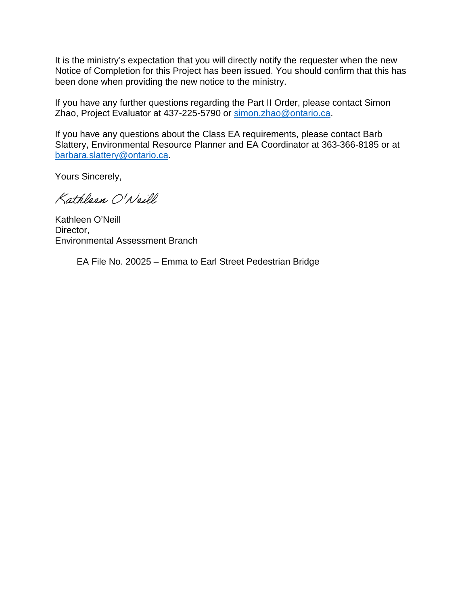It is the ministry's expectation that you will directly notify the requester when the new Notice of Completion for this Project has been issued. You should confirm that this has been done when providing the new notice to the ministry.

If you have any further questions regarding the Part II Order, please contact Simon Zhao, Project Evaluator at 437-225-5790 or [simon.zhao@ontario.ca.](mailto:simon.zhao@ontario.ca)

If you have any questions about the Class EA requirements, please contact Barb Slattery, Environmental Resource Planner and EA Coordinator at 363-366-8185 or at [barbara.slattery@ontario.ca.](mailto:barbara.slattery@ontario.ca)

Yours Sincerely,

Kathleen O'Neill

Kathleen O'Neill Director, Environmental Assessment Branch

EA File No. 20025 – Emma to Earl Street Pedestrian Bridge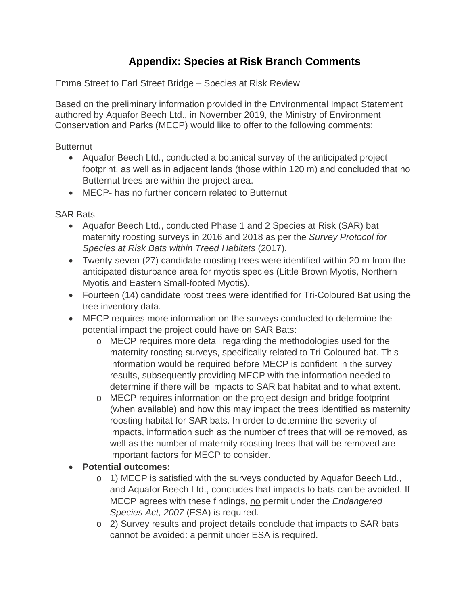# **Appendix: Species at Risk Branch Comments**

### Emma Street to Earl Street Bridge – Species at Risk Review

Based on the preliminary information provided in the Environmental Impact Statement authored by Aquafor Beech Ltd., in November 2019, the Ministry of Environment Conservation and Parks (MECP) would like to offer to the following comments:

#### **Butternut**

- Aquafor Beech Ltd., conducted a botanical survey of the anticipated project footprint, as well as in adjacent lands (those within 120 m) and concluded that no Butternut trees are within the project area.
- MECP- has no further concern related to Butternut

## SAR Bats

- Aquafor Beech Ltd., conducted Phase 1 and 2 Species at Risk (SAR) bat maternity roosting surveys in 2016 and 2018 as per the *Survey Protocol for Species at Risk Bats within Treed Habitats* (2017).
- Twenty-seven (27) candidate roosting trees were identified within 20 m from the anticipated disturbance area for myotis species (Little Brown Myotis, Northern Myotis and Eastern Small-footed Myotis).
- Fourteen (14) candidate roost trees were identified for Tri-Coloured Bat using the tree inventory data.
- MECP requires more information on the surveys conducted to determine the potential impact the project could have on SAR Bats:
	- o MECP requires more detail regarding the methodologies used for the maternity roosting surveys, specifically related to Tri-Coloured bat. This information would be required before MECP is confident in the survey results, subsequently providing MECP with the information needed to determine if there will be impacts to SAR bat habitat and to what extent.
	- o MECP requires information on the project design and bridge footprint (when available) and how this may impact the trees identified as maternity roosting habitat for SAR bats. In order to determine the severity of impacts, information such as the number of trees that will be removed, as well as the number of maternity roosting trees that will be removed are important factors for MECP to consider.
- **Potential outcomes:**
	- o 1) MECP is satisfied with the surveys conducted by Aquafor Beech Ltd., and Aquafor Beech Ltd., concludes that impacts to bats can be avoided. If MECP agrees with these findings, no permit under the *Endangered Species Act, 2007* (ESA) is required.
	- o 2) Survey results and project details conclude that impacts to SAR bats cannot be avoided: a permit under ESA is required.